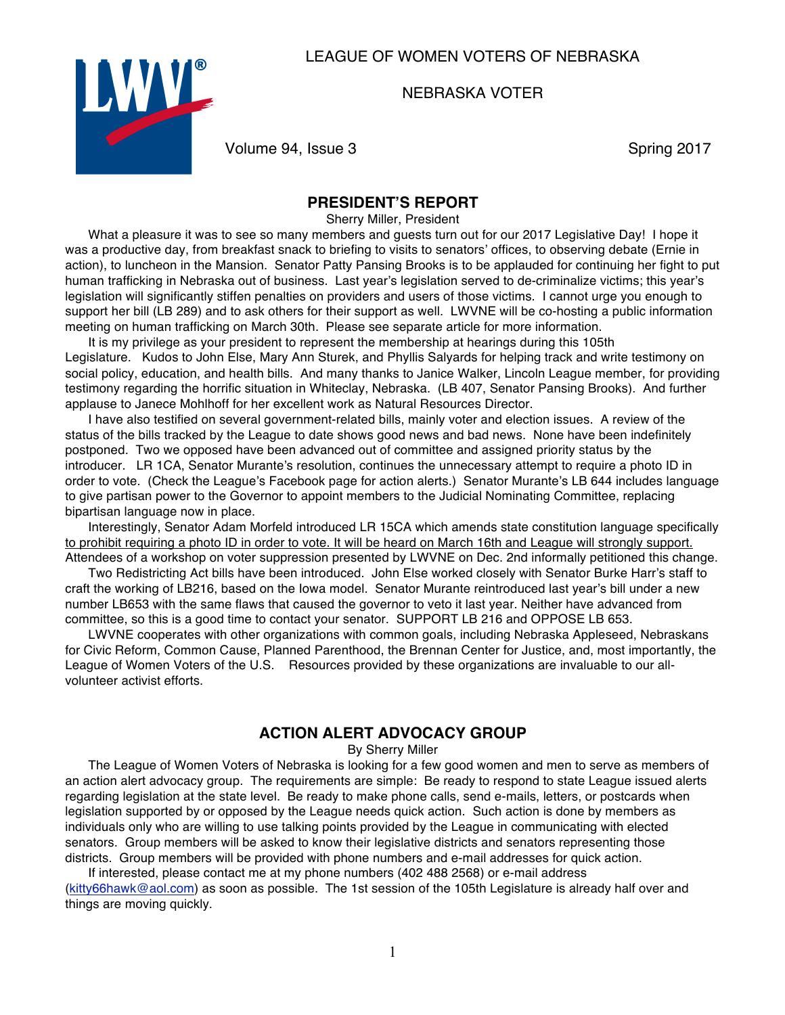## LEAGUE OF WOMEN VOTERS OF NEBRASKA

NEBRASKA VOTER



Volume 94, Issue 3 Spring 2017

### **PRESIDENT'S REPORT**

Sherry Miller, President

What a pleasure it was to see so many members and guests turn out for our 2017 Legislative Day! I hope it was a productive day, from breakfast snack to briefing to visits to senators' offices, to observing debate (Ernie in action), to luncheon in the Mansion. Senator Patty Pansing Brooks is to be applauded for continuing her fight to put human trafficking in Nebraska out of business. Last year's legislation served to de-criminalize victims; this year's legislation will significantly stiffen penalties on providers and users of those victims. I cannot urge you enough to support her bill (LB 289) and to ask others for their support as well. LWVNE will be co-hosting a public information meeting on human trafficking on March 30th. Please see separate article for more information.

It is my privilege as your president to represent the membership at hearings during this 105th Legislature. Kudos to John Else, Mary Ann Sturek, and Phyllis Salyards for helping track and write testimony on social policy, education, and health bills. And many thanks to Janice Walker, Lincoln League member, for providing testimony regarding the horrific situation in Whiteclay, Nebraska. (LB 407, Senator Pansing Brooks). And further applause to Janece Mohlhoff for her excellent work as Natural Resources Director.

I have also testified on several government-related bills, mainly voter and election issues. A review of the status of the bills tracked by the League to date shows good news and bad news. None have been indefinitely postponed. Two we opposed have been advanced out of committee and assigned priority status by the introducer. LR 1CA, Senator Murante's resolution, continues the unnecessary attempt to require a photo ID in order to vote. (Check the League's Facebook page for action alerts.) Senator Murante's LB 644 includes language to give partisan power to the Governor to appoint members to the Judicial Nominating Committee, replacing bipartisan language now in place.

Interestingly, Senator Adam Morfeld introduced LR 15CA which amends state constitution language specifically to prohibit requiring a photo ID in order to vote. It will be heard on March 16th and League will strongly support. Attendees of a workshop on voter suppression presented by LWVNE on Dec. 2nd informally petitioned this change.

Two Redistricting Act bills have been introduced. John Else worked closely with Senator Burke Harr's staff to craft the working of LB216, based on the Iowa model. Senator Murante reintroduced last year's bill under a new number LB653 with the same flaws that caused the governor to veto it last year. Neither have advanced from committee, so this is a good time to contact your senator. SUPPORT LB 216 and OPPOSE LB 653.

LWVNE cooperates with other organizations with common goals, including Nebraska Appleseed, Nebraskans for Civic Reform, Common Cause, Planned Parenthood, the Brennan Center for Justice, and, most importantly, the League of Women Voters of the U.S. Resources provided by these organizations are invaluable to our allvolunteer activist efforts.

#### **ACTION ALERT ADVOCACY GROUP**

By Sherry Miller

The League of Women Voters of Nebraska is looking for a few good women and men to serve as members of an action alert advocacy group. The requirements are simple: Be ready to respond to state League issued alerts regarding legislation at the state level. Be ready to make phone calls, send e-mails, letters, or postcards when legislation supported by or opposed by the League needs quick action. Such action is done by members as individuals only who are willing to use talking points provided by the League in communicating with elected senators. Group members will be asked to know their legislative districts and senators representing those districts. Group members will be provided with phone numbers and e-mail addresses for quick action.

If interested, please contact me at my phone numbers (402 488 2568) or e-mail address (kitty66hawk@aol.com) as soon as possible. The 1st session of the 105th Legislature is already half over and things are moving quickly.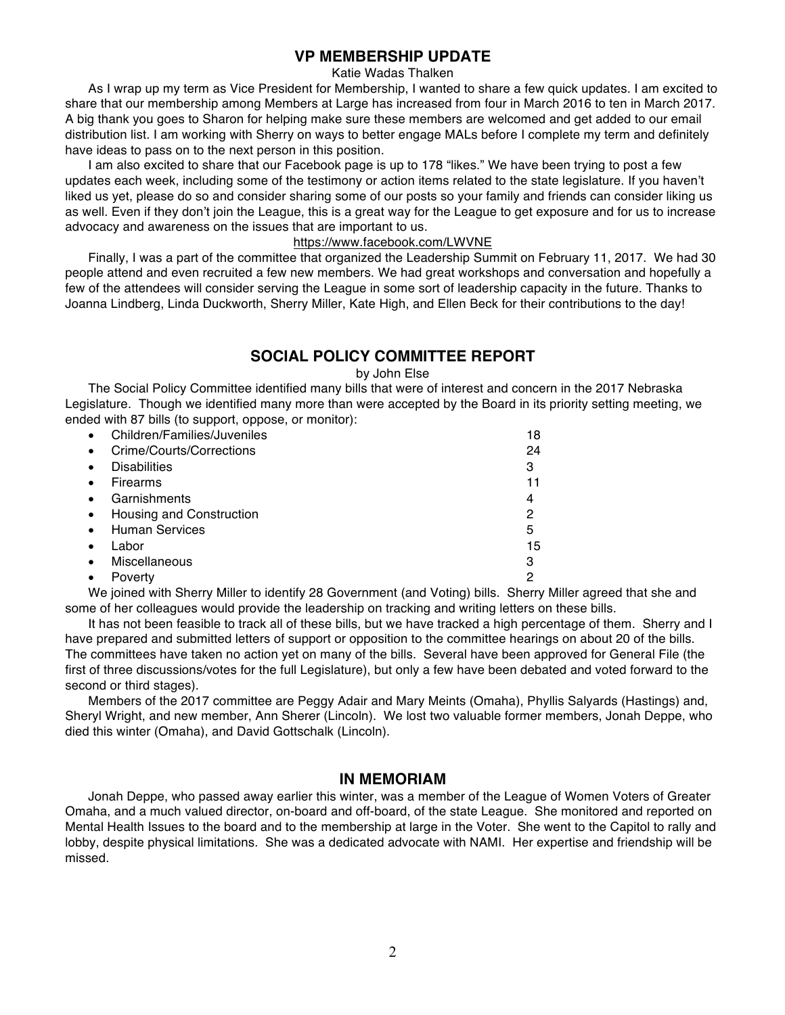## **VP MEMBERSHIP UPDATE**

#### Katie Wadas Thalken

As I wrap up my term as Vice President for Membership, I wanted to share a few quick updates. I am excited to share that our membership among Members at Large has increased from four in March 2016 to ten in March 2017. A big thank you goes to Sharon for helping make sure these members are welcomed and get added to our email distribution list. I am working with Sherry on ways to better engage MALs before I complete my term and definitely have ideas to pass on to the next person in this position.

I am also excited to share that our Facebook page is up to 178 "likes." We have been trying to post a few updates each week, including some of the testimony or action items related to the state legislature. If you haven't liked us yet, please do so and consider sharing some of our posts so your family and friends can consider liking us as well. Even if they don't join the League, this is a great way for the League to get exposure and for us to increase advocacy and awareness on the issues that are important to us.

#### https://www.facebook.com/LWVNE

Finally, I was a part of the committee that organized the Leadership Summit on February 11, 2017. We had 30 people attend and even recruited a few new members. We had great workshops and conversation and hopefully a few of the attendees will consider serving the League in some sort of leadership capacity in the future. Thanks to Joanna Lindberg, Linda Duckworth, Sherry Miller, Kate High, and Ellen Beck for their contributions to the day!

## **SOCIAL POLICY COMMITTEE REPORT**

by John Else

The Social Policy Committee identified many bills that were of interest and concern in the 2017 Nebraska Legislature. Though we identified many more than were accepted by the Board in its priority setting meeting, we ended with 87 bills (to support, oppose, or monitor):

|   | Children/Families/Juveniles | 18 |
|---|-----------------------------|----|
|   | Crime/Courts/Corrections    | 24 |
| ٠ | <b>Disabilities</b>         | 3  |
| ٠ | Firearms                    | 11 |
|   | Garnishments                | 4  |
|   | Housing and Construction    | 2  |
|   | <b>Human Services</b>       | 5  |
|   | Labor                       | 15 |
| ٠ | <b>Miscellaneous</b>        | з  |
|   | Poverty                     | 2  |

We joined with Sherry Miller to identify 28 Government (and Voting) bills. Sherry Miller agreed that she and some of her colleagues would provide the leadership on tracking and writing letters on these bills.

It has not been feasible to track all of these bills, but we have tracked a high percentage of them. Sherry and I have prepared and submitted letters of support or opposition to the committee hearings on about 20 of the bills. The committees have taken no action yet on many of the bills. Several have been approved for General File (the first of three discussions/votes for the full Legislature), but only a few have been debated and voted forward to the second or third stages).

Members of the 2017 committee are Peggy Adair and Mary Meints (Omaha), Phyllis Salyards (Hastings) and, Sheryl Wright, and new member, Ann Sherer (Lincoln). We lost two valuable former members, Jonah Deppe, who died this winter (Omaha), and David Gottschalk (Lincoln).

#### **IN MEMORIAM**

Jonah Deppe, who passed away earlier this winter, was a member of the League of Women Voters of Greater Omaha, and a much valued director, on-board and off-board, of the state League. She monitored and reported on Mental Health Issues to the board and to the membership at large in the Voter. She went to the Capitol to rally and lobby, despite physical limitations. She was a dedicated advocate with NAMI. Her expertise and friendship will be missed.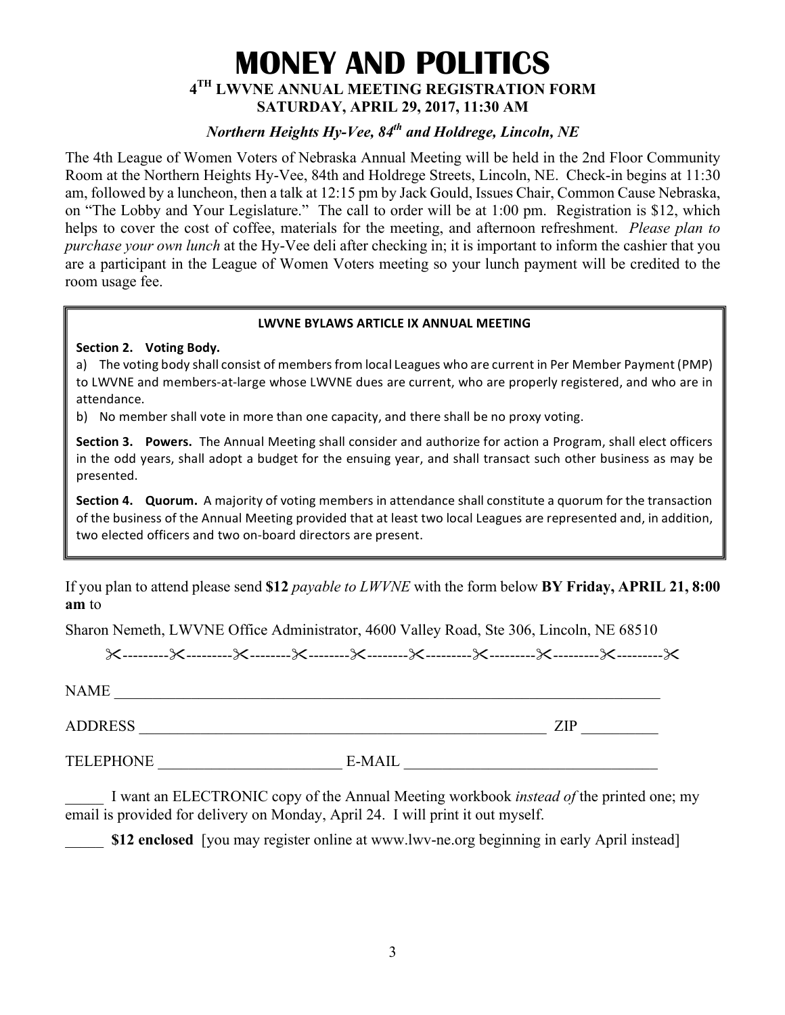# **MONEY AND POLITICS 4TH LWVNE ANNUAL MEETING REGISTRATION FORM SATURDAY, APRIL 29, 2017, 11:30 AM**

## *Northern Heights Hy-Vee, 84th and Holdrege, Lincoln, NE*

The 4th League of Women Voters of Nebraska Annual Meeting will be held in the 2nd Floor Community Room at the Northern Heights Hy-Vee, 84th and Holdrege Streets, Lincoln, NE. Check-in begins at 11:30 am, followed by a luncheon, then a talk at 12:15 pm by Jack Gould, Issues Chair, Common Cause Nebraska, on "The Lobby and Your Legislature." The call to order will be at 1:00 pm. Registration is \$12, which helps to cover the cost of coffee, materials for the meeting, and afternoon refreshment. *Please plan to purchase your own lunch* at the Hy-Vee deli after checking in; it is important to inform the cashier that you are a participant in the League of Women Voters meeting so your lunch payment will be credited to the room usage fee.

#### **LWVNE BYLAWS ARTICLE IX ANNUAL MEETING**

**Section 2. Voting Body.**

a) The voting body shall consist of members from local Leagues who are current in Per Member Payment (PMP) to LWVNE and members-at-large whose LWVNE dues are current, who are properly registered, and who are in attendance.

b) No member shall vote in more than one capacity, and there shall be no proxy voting.

**Section 3. Powers.** The Annual Meeting shall consider and authorize for action a Program, shall elect officers in the odd years, shall adopt a budget for the ensuing year, and shall transact such other business as may be presented.

**Section 4. Quorum.** A majority of voting members in attendance shall constitute a quorum for the transaction of the business of the Annual Meeting provided that at least two local Leagues are represented and, in addition, two elected officers and two on-board directors are present.

If you plan to attend please send **\$12** *payable to LWVNE* with the form below **BY Friday, APRIL 21, 8:00 am** to

Sharon Nemeth, LWVNE Office Administrator, 4600 Valley Road, Ste 306, Lincoln, NE 68510

"---------"---------"--------"--------"--------"---------"---------"---------"---------"

NAME ADDRESS \_\_\_\_\_\_\_\_\_\_\_\_\_\_\_\_\_\_\_\_\_\_\_\_\_\_\_\_\_\_\_\_\_\_\_\_\_\_\_\_\_\_\_\_\_\_\_\_\_\_\_\_\_ ZIP \_\_\_\_\_\_\_\_\_\_

TELEPHONE E-MAIL E-MAIL

\_\_\_\_\_ I want an ELECTRONIC copy of the Annual Meeting workbook *instead of* the printed one; my email is provided for delivery on Monday, April 24. I will print it out myself.

**\$12 enclosed** [you may register online at www.lwv-ne.org beginning in early April instead]